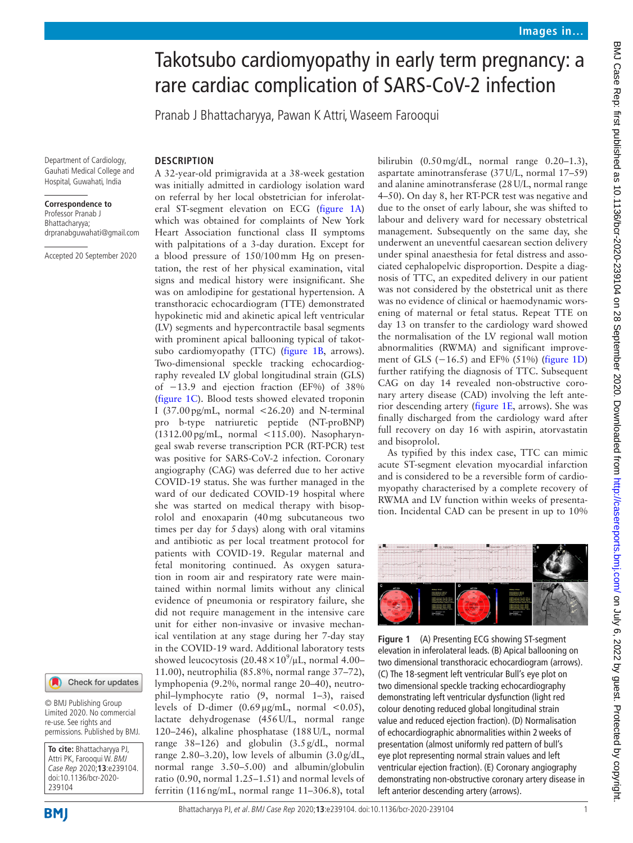# Takotsubo cardiomyopathy in early term pregnancy: a rare cardiac complication of SARS-CoV-2 infection

Pranab J Bhattacharyya, Pawan K Attri, Waseem Farooqui

Department of Cardiology, Gauhati Medical College and Hospital, Guwahati, India

#### **Correspondence to**

Professor Pranab J Bhattacharyya; drpranabguwahati@gmail.com

Accepted 20 September 2020

## **DESCRIPTION**

A 32-year-old primigravida at a 38-week gestation was initially admitted in cardiology isolation ward on referral by her local obstetrician for inferolateral ST-segment elevation on ECG ([figure](#page-0-0) 1A) which was obtained for complaints of New York Heart Association functional class II symptoms with palpitations of a 3-day duration. Except for a blood pressure of 150/100mm Hg on presentation, the rest of her physical examination, vital signs and medical history were insignificant. She was on amlodipine for gestational hypertension. A transthoracic echocardiogram (TTE) demonstrated hypokinetic mid and akinetic apical left ventricular (LV) segments and hypercontractile basal segments with prominent apical ballooning typical of takotsubo cardiomyopathy (TTC) [\(figure](#page-0-0) 1B, arrows). Two-dimensional speckle tracking echocardiography revealed LV global longitudinal strain (GLS) of −13.9 and ejection fraction (EF%) of 38% ([figure](#page-0-0) 1C). Blood tests showed elevated troponin I (37.00 pg/mL, normal  $\langle 26.20 \rangle$  and N-terminal pro b-type natriuretic peptide (NT-proBNP) (1312.00pg/mL, normal <115.00). Nasopharyngeal swab reverse transcription PCR (RT-PCR) test was positive for SARS-CoV-2 infection. Coronary angiography (CAG) was deferred due to her active COVID-19 status. She was further managed in the ward of our dedicated COVID-19 hospital where she was started on medical therapy with bisoprolol and enoxaparin (40mg subcutaneous two times per day for 5days) along with oral vitamins and antibiotic as per local treatment protocol for patients with COVID-19. Regular maternal and fetal monitoring continued. As oxygen saturation in room air and respiratory rate were maintained within normal limits without any clinical evidence of pneumonia or respiratory failure, she did not require management in the intensive care unit for either non-invasive or invasive mechanical ventilation at any stage during her 7-day stay in the COVID-19 ward. Additional laboratory tests showed leucocytosis (20.48 $\times$ 10<sup>9</sup>/µL, normal 4.00– 11.00), neutrophilia (85.8%, normal range 37–72), lymphopenia (9.2%, normal range 20–40), neutrophil–lymphocyte ratio (9, normal 1–3), raised levels of D-dimer  $(0.69 \,\mu\text{g/mL}$ , normal <0.05), lactate dehydrogenase (456U/L, normal range 120–246), alkaline phosphatase (188U/L, normal range 38–126) and globulin (3.5g/dL, normal range  $2.80-3.20$ ), low levels of albumin  $(3.0g/dL,$ normal range 3.50–5.00) and albumin/globulin ratio (0.90, normal 1.25–1.51) and normal levels of ferritin (116ng/mL, normal range 11–306.8), total bilirubin (0.50mg/dL, normal range 0.20–1.3), aspartate aminotransferase (37U/L, normal 17–59) and alanine aminotransferase (28U/L, normal range 4–50). On day 8, her RT-PCR test was negative and due to the onset of early labour, she was shifted to labour and delivery ward for necessary obstetrical management. Subsequently on the same day, she underwent an uneventful caesarean section delivery under spinal anaesthesia for fetal distress and associated cephalopelvic disproportion. Despite a diagnosis of TTC, an expedited delivery in our patient was not considered by the obstetrical unit as there was no evidence of clinical or haemodynamic worsening of maternal or fetal status. Repeat TTE on day 13 on transfer to the cardiology ward showed the normalisation of the LV regional wall motion abnormalities (RWMA) and significant improvement of GLS (−16.5) and EF% (51%) ([figure](#page-0-0) 1D) further ratifying the diagnosis of TTC. Subsequent CAG on day 14 revealed non-obstructive coronary artery disease (CAD) involving the left anterior descending artery ([figure](#page-0-0) 1E, arrows). She was finally discharged from the cardiology ward after full recovery on day 16 with aspirin, atorvastatin and bisoprolol.

As typified by this index case, TTC can mimic acute ST-segment elevation myocardial infarction and is considered to be a reversible form of cardiomyopathy characterised by a complete recovery of RWMA and LV function within weeks of presentation. Incidental CAD can be present in up to 10%



<span id="page-0-0"></span>**Figure 1** (A) Presenting ECG showing ST-segment elevation in inferolateral leads. (B) Apical ballooning on two dimensional transthoracic echocardiogram (arrows). (C) The 18-segment left ventricular Bull's eye plot on two dimensional speckle tracking echocardiography demonstrating left ventricular dysfunction (light red colour denoting reduced global longitudinal strain value and reduced ejection fraction). (D) Normalisation of echocardiographic abnormalities within 2weeks of presentation (almost uniformly red pattern of bull's eye plot representing normal strain values and left ventricular ejection fraction). (E) Coronary angiography demonstrating non-obstructive coronary artery disease in left anterior descending artery (arrows).



Limited 2020. No commercial re-use. See rights and permissions. Published by BMJ.

Check for updates

**To cite:** Bhattacharyya PJ, Attri PK, Farooqui W. BMJ Case Rep 2020;**13**:e239104. doi:10.1136/bcr-2020- 239104